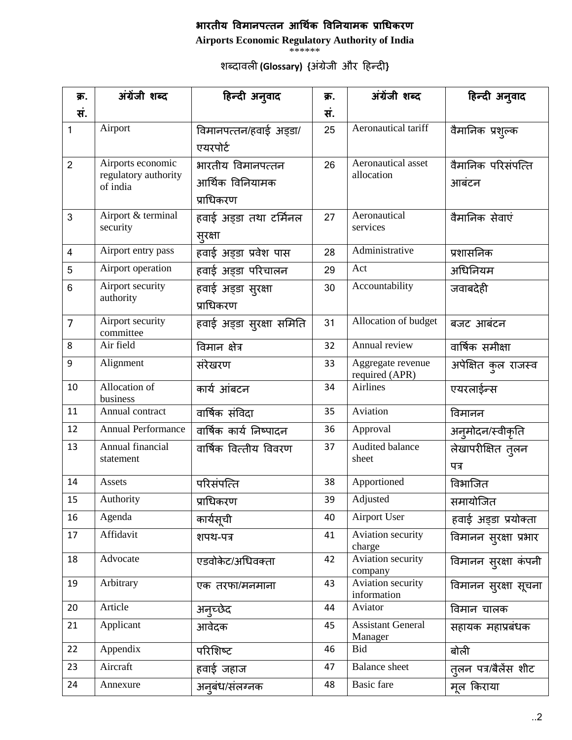## भारतीय विमानपत्तन आर्थिक विनियामक प्राधिकरण

**Airports Economic Regulatory Authority of India**

\*\*\*\*\*\*

शब्दा\*वली **(Glossary) {**अंग्रेजी औरदहिन्दाी**}**

| क्र.           | अंग्रेंजी शब्द                   | हिन्दी अनुवाद            | क्र. | अंग्रेंजी शब्द                      | हिन्दी अनुवाद                |
|----------------|----------------------------------|--------------------------|------|-------------------------------------|------------------------------|
| सं.            |                                  |                          | सं.  |                                     |                              |
| $\mathbf{1}$   | Airport                          | विमानपत्तन/हवाई अड़डा/   | 25   | Aeronautical tariff                 | वैमानिक प्रश्ल्क             |
|                |                                  | एयरपोर्ट                 |      |                                     |                              |
| $\overline{2}$ | Airports economic                | भारतीय विमानपत्तन        | 26   | Aeronautical asset                  | वैमानिक परिसंपत्ति           |
|                | regulatory authority<br>of india | आर्थिक विनियामक          |      | allocation                          | आबंटन                        |
|                |                                  | प्राधिकरण                |      |                                     |                              |
| 3              | Airport & terminal               | हवाई अड्डा तथा टर्मिनल   | 27   | Aeronautical                        | वैमानिक सेवाएं               |
|                | security                         | स्रस्ता                  |      | services                            |                              |
| 4              | Airport entry pass               | हवाई अड़्डा प्रवेश पास   | 28   | Administrative                      | प्रशासनिक                    |
| 5              | Airport operation                | हवाई अड्डा परिचालन       | 29   | Act                                 | अधिनियम                      |
| 6              | Airport security                 | हवाई अड्डा सुरक्षा       | 30   | Accountability                      | जवाबदेही                     |
|                | authority                        | प्राधिकरण                |      |                                     |                              |
| $\overline{7}$ | Airport security<br>committee    | हवाई अड्डा सुरक्षा समिति | 31   | Allocation of budget                | बजट आबंटन                    |
| 8              | Air field                        | विमान क्षेत्र            | 32   | Annual review                       | वार्षिक समीक्षा              |
| 9              | Alignment                        | संरेखरण                  | 33   | Aggregate revenue<br>required (APR) | अपेक्षित कुल राजस्व          |
| 10             | Allocation of<br>business        | कार्य आंबटन              | 34   | <b>Airlines</b>                     | एयरलाईन्स                    |
| 11             | Annual contract                  | वार्षिक संविदा           | 35   | Aviation                            | विमानन                       |
| 12             | <b>Annual Performance</b>        | वार्षिक कार्य निष्पादन   | 36   | Approval                            | अनुमोदन/स्वीकृति             |
| 13             | Annual financial                 | वार्षिक वित्तीय विवरण    | 37   | Audited balance                     | लेखापरीक्षित तुलन            |
|                | statement                        |                          |      | sheet                               | पत्र                         |
| 14             | Assets                           | परिसंपत्ति               | 38   | Apportioned                         | विभाजित                      |
| 15             | Authority                        | प्राधिकरण                | 39   | Adjusted                            | समायोजित                     |
| 16             | Agenda                           | कार्यसूची                | 40   | <b>Airport User</b>                 | हवाई अड्डा प्रयोक्ता         |
| 17             | Affidavit                        | शपथ-पत्र                 | 41   | Aviation security<br>charge         | विमानन सुरक्षा प्रभार        |
| 18             | Advocate                         | एडवोकेट/अधिवक्ता         | 42   | Aviation security<br>company        | विमानन सुरक्षा कंपनी         |
| 19             | Arbitrary                        | एक तरफा/मनमाना           | 43   | Aviation security<br>information    | विमानन स् <b>रक्षा सूचना</b> |
| 20             | Article                          | अनुच्छेद                 | 44   | Aviator                             | विमान चालक                   |
| 21             | Applicant                        | आवेदक                    | 45   | <b>Assistant General</b><br>Manager | सहायक महाप्रबंधक             |
| 22             | Appendix                         | परिशिष्ट                 | 46   | Bid                                 | बोली                         |
| 23             | Aircraft                         | हवाई जहाज                | 47   | <b>Balance</b> sheet                | तुलन पत्र/बैलेंस शीट         |
| 24             | Annexure                         | अनुबंध/संलग्नक           | 48   | <b>Basic</b> fare                   | मूल किराया                   |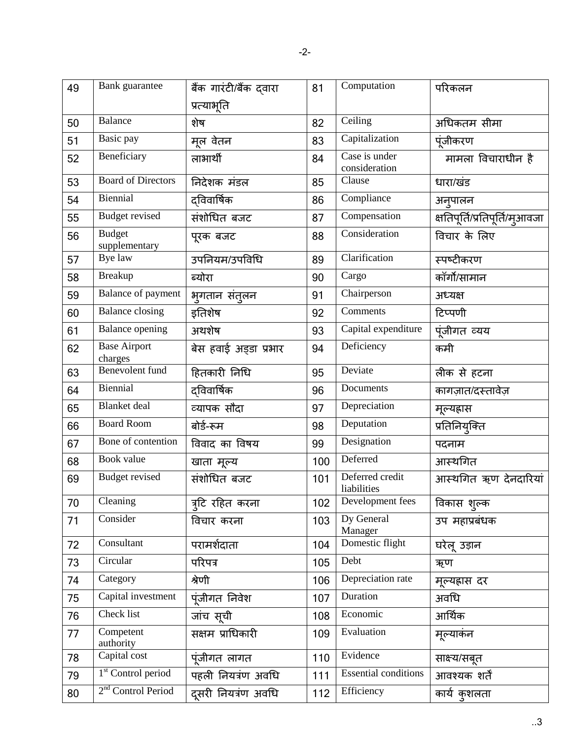| 49 | Bank guarantee                 | बैंक गारंटी/बैंक दवारा<br>प्रत्याभूति | 81  | Computation                    | परिकलन                         |
|----|--------------------------------|---------------------------------------|-----|--------------------------------|--------------------------------|
| 50 | Balance                        | शेष                                   | 82  | Ceiling                        | अधिकतम सीमा                    |
| 51 | Basic pay                      | मूल वेतन                              | 83  | Capitalization                 | पूंजीकरण                       |
| 52 | Beneficiary                    | लाभार्थी                              | 84  | Case is under<br>consideration | मामला विचाराधीन है             |
| 53 | <b>Board of Directors</b>      | निदेशक मंडल                           | 85  | Clause                         | धारा/खंड                       |
| 54 | Biennial                       | दविवार्षिक                            | 86  | Compliance                     | अनुपालन                        |
| 55 | <b>Budget revised</b>          | संशोधित बजट                           | 87  | Compensation                   | क्षतिपूर्ति/प्रतिपूर्ति/मुआवजा |
| 56 | <b>Budget</b><br>supplementary | पूरक बजट                              | 88  | Consideration                  | विचार के लिए                   |
| 57 | Bye law                        | उपनियम/उपविधि                         | 89  | Clarification                  | स्पष्टीकरण                     |
| 58 | <b>Breakup</b>                 | ब्योरा                                | 90  | Cargo                          | कॉर्गो/सामान                   |
| 59 | Balance of payment             | भूगतान संतुलन                         | 91  | Chairperson                    | अध्यक्ष                        |
| 60 | <b>Balance</b> closing         | इतिशेष                                | 92  | Comments                       | टिप्पणी                        |
| 61 | <b>Balance opening</b>         | अथशेष                                 | 93  | Capital expenditure            | पूंजीगत व्यय                   |
| 62 | <b>Base Airport</b><br>charges | बेस हवाई अड्डा प्रभार                 | 94  | Deficiency                     | कमी                            |
| 63 | <b>Benevolent</b> fund         | हितकारी निधि                          | 95  | Deviate                        | लीक से हटना                    |
| 64 | Biennial                       | दविवार्षिक                            | 96  | Documents                      | कागज़ात/दस्तावेज़              |
| 65 | <b>Blanket</b> deal            | व्यापक सौंदा                          | 97  | Depreciation                   | मूल्यह्रास                     |
| 66 | <b>Board Room</b>              | बोर्ड-रूम                             | 98  | Deputation                     | प्रतिनियुक्ति                  |
| 67 | Bone of contention             | विवाद का विषय                         | 99  | Designation                    | पदनाम                          |
| 68 | Book value                     | खाता मूल्य                            | 100 | Deferred                       | आस्थगित                        |
| 69 | <b>Budget revised</b>          | संशोधित बजट                           | 101 | Deferred credit<br>liabilities | आस्थगित ऋण देनदारियां          |
| 70 | Cleaning                       | त्र्टि रहित करना                      | 102 | Development fees               | विकास शुल्क                    |
| 71 | Consider                       | विचार करना                            | 103 | Dy General<br>Manager          | उप महाप्रबंधक                  |
| 72 | Consultant                     | परामर्शदाता                           | 104 | Domestic flight                | घरेलू उड़ान                    |
| 73 | Circular                       | परिपत्र                               | 105 | Debt                           | ऋण                             |
| 74 | Category                       | श्रेणी                                | 106 | Depreciation rate              | मूल्यह्रास दर                  |
| 75 | Capital investment             | पूंजीगत निवेश                         | 107 | Duration                       | अवधि                           |
| 76 | Check list                     | जांच सूची                             | 108 | Economic                       | आर्थिक                         |
| 77 | Competent<br>authority         | सक्षम प्राधिकारी                      | 109 | Evaluation                     | मूल्याकंन                      |
| 78 | Capital cost                   | पूंजीगत लागत                          | 110 | Evidence                       | साक्ष्य/सबूत                   |
| 79 | 1 <sup>st</sup> Control period | पहली नियत्रंण अवधि                    | 111 | <b>Essential conditions</b>    | आवश्यक शर्तें                  |
| 80 | 2 <sup>nd</sup> Control Period | दूसरी नियत्रंण अवधि                   | 112 | Efficiency                     | कार्य कुशलता                   |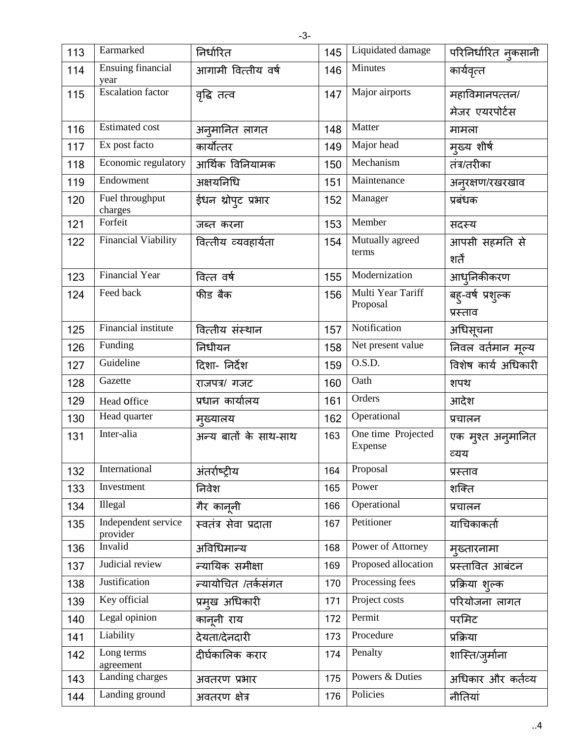| 113 | Earmarked                        | निर्धारित             | 145 | Liquidated damage             | परिनिर्धारित नुकसानी          |
|-----|----------------------------------|-----------------------|-----|-------------------------------|-------------------------------|
| 114 | <b>Ensuing financial</b><br>year | आगामी वित्तीय वर्ष    | 146 | Minutes                       | कार्यवृत्त                    |
| 115 | <b>Escalation</b> factor         | वृद्धि तत्व           | 147 | Major airports                | महाविमानपत्तन/                |
|     |                                  |                       |     |                               | मेजर एयरपोर्टस                |
| 116 | <b>Estimated cost</b>            | अनुमानित लागत         | 148 | Matter                        | मामला                         |
| 117 | Ex post facto                    | कार्योत्तर            | 149 | Major head                    | मुख्य शीर्ष                   |
| 118 | Economic regulatory              | आर्थिक विनियामक       | 150 | Mechanism                     | तंत्र/तरीका                   |
| 119 | Endowment                        | अक्षयनिधि             | 151 | Maintenance                   | अनुरक्षण/रखरखाव               |
| 120 | Fuel throughput<br>charges       | ईधन थ्रोपुट प्रभार    | 152 | Manager                       | प्रबंधक                       |
| 121 | Forfeit                          | जब्त करना             | 153 | Member                        | सदस्य                         |
| 122 | Financial Viability              | वित्तीय व्यवहार्यता   | 154 | Mutually agreed<br>terms      | आपसी सहमति से<br>शर्तें       |
| 123 | <b>Financial Year</b>            | वित्त वर्ष            | 155 | Modernization                 | आधुनिकीकरण                    |
| 124 | Feed back                        | फीड बैक               | 156 | Multi Year Tariff<br>Proposal | बह्-वर्ष प्रशुल्क<br>प्रस्ताव |
| 125 | <b>Financial institute</b>       | वित्तीय संस्थान       | 157 | Notification                  | अधिसूचना                      |
| 126 | Funding                          | निधीयन                | 158 | Net present value             | निवल वर्तमान मूल्य            |
| 127 | Guideline                        | दिशा- निर्देश         | 159 | O.S.D.                        | विशेष कार्य अधिकारी           |
| 128 | Gazette                          | राजपत्र/ गजट          | 160 | Oath                          | शपथ                           |
| 129 | Head office                      | प्रधान कार्यालय       | 161 | Orders                        | आदेश                          |
| 130 | Head quarter                     | मुख्यालय              | 162 | Operational                   | प्रचालन                       |
| 131 | Inter-alia                       | अन्य बातों के साथ-साथ | 163 | One time Projected<br>Expense | एक मुश्त अनुमानित<br>व्यय     |
| 132 | International                    | अंतर्राष्ट्रीय        | 164 | Proposal                      | प्रस्ताव                      |
| 133 | Investment                       | निवेश                 | 165 | Power                         | शक्ति                         |
| 134 | Illegal                          | गैर कानूनी            | 166 | Operational                   | प्रचालन                       |
| 135 | Independent service<br>provider  | स्वतंत्र सेवा प्रदाता | 167 | Petitioner                    | याचिकाकर्ता                   |
| 136 | Invalid                          | अविधिमान्य            | 168 | Power of Attorney             | मुख्तारनामा                   |
| 137 | Judicial review                  | न्यायिक समीक्षा       | 169 | Proposed allocation           | प्रस्तावित आबंटन              |
| 138 | Justification                    | न्यायोचित /तर्कसंगत   | 170 | Processing fees               | प्रक्रिया शुल्क               |
| 139 | Key official                     | प्रमुख अधिकारी        | 171 | Project costs                 | परियोजना लागत                 |
| 140 | Legal opinion                    | कानूनी राय            | 172 | Permit                        | परमिट                         |
| 141 | Liability                        | देयता/देनदारी         | 173 | Procedure                     | प्रक्रिया                     |
| 142 | Long terms<br>agreement          | दीर्घकालिक करार       | 174 | Penalty                       | शास्ति/जुर्माना               |
| 143 | Landing charges                  | अवतरण प्रभार          | 175 | Powers & Duties               | अधिकार और कर्तव्य             |
| 144 | Landing ground                   | अवतरण क्षेत्र         | 176 | Policies                      | नीतियां                       |